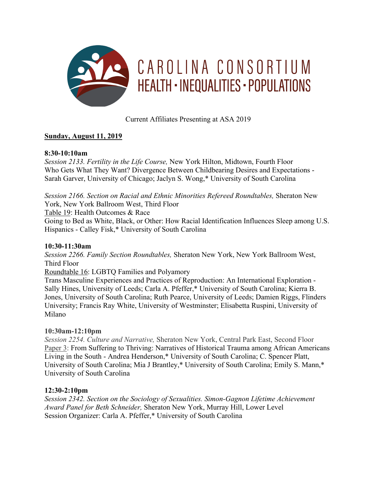

Current Affiliates Presenting at ASA 2019

# **Sunday, August 11, 2019**

#### **8:30-10:10am**

*Session 2133. Fertility in the Life Course,* New York Hilton, Midtown, Fourth Floor Who Gets What They Want? Divergence Between Childbearing Desires and Expectations - Sarah Garver, University of Chicago; Jaclyn S. Wong,\* University of South Carolina

*Session 2166. Section on Racial and Ethnic Minorities Refereed Roundtables,* Sheraton New York, New York Ballroom West, Third Floor

Table 19: Health Outcomes & Race

Going to Bed as White, Black, or Other: How Racial Identification Influences Sleep among U.S. Hispanics - Calley Fisk,\* University of South Carolina

## **10:30-11:30am**

*Session 2266. Family Section Roundtables,* Sheraton New York, New York Ballroom West, Third Floor

Roundtable 16: LGBTQ Families and Polyamory

Trans Masculine Experiences and Practices of Reproduction: An International Exploration - Sally Hines, University of Leeds; Carla A. Pfeffer,\* University of South Carolina; Kierra B. Jones, University of South Carolina; Ruth Pearce, University of Leeds; Damien Riggs, Flinders University; Francis Ray White, University of Westminster; Elisabetta Ruspini, University of Milano

## **10:30am-12:10pm**

*Session 2254. Culture and Narrative,* Sheraton New York, Central Park East, Second Floor Paper 3: From Suffering to Thriving: Narratives of Historical Trauma among African Americans Living in the South - Andrea Henderson,\* University of South Carolina; C. Spencer Platt, University of South Carolina; Mia J Brantley,\* University of South Carolina; Emily S. Mann,\* University of South Carolina

## **12:30-2:10pm**

*Session 2342. Section on the Sociology of Sexualities. Simon-Gagnon Lifetime Achievement Award Panel for Beth Schneider,* Sheraton New York, Murray Hill, Lower Level Session Organizer: Carla A. Pfeffer,\* University of South Carolina